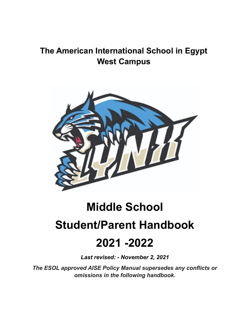## **The American International School in Egypt West Campus**



# **Middle School**

## **Student/Parent Handbook**

## **2021 -2022**

*Last revised: - November 2, 2021*

*The ESOL approved AISE Policy Manual supersedes any conflicts or omissions in the following handbook.*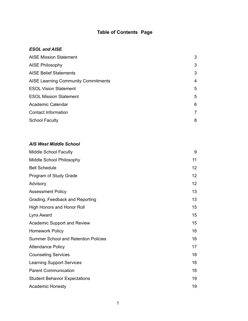### **Table of Contents Page**

#### *ESOL and AISE*

| <b>AISE Mission Statement</b>              | 3              |
|--------------------------------------------|----------------|
| <b>AISE Philosophy</b>                     | 3              |
| <b>AISE Belief Statements</b>              | 3              |
| <b>AISE Learning Community Commitments</b> | 4              |
| <b>ESOL Vision Statement</b>               | 5              |
| <b>ESOL Mission Statement</b>              | 5              |
| Academic Calendar                          | 6              |
| <b>Contact Information</b>                 | $\overline{7}$ |
| <b>School Faculty</b>                      | 8              |

#### *AIS West Middle School*

| <b>Middle School Faculty</b>                | 9               |
|---------------------------------------------|-----------------|
| Middle School Philosophy                    | 11              |
| <b>Bell Schedule</b>                        | 12 <sup>2</sup> |
| Program of Study Grade                      | 12              |
| Advisory                                    | 12              |
| <b>Assessment Policy</b>                    | 13              |
| Grading, Feedback and Reporting             | 13              |
| High Honors and Honor Roll                  | 15              |
| Lynx Award                                  | 15              |
| <b>Academic Support and Review</b>          | 15              |
| <b>Homework Policy</b>                      | 16              |
| <b>Summer School and Retention Policies</b> | 16              |
| <b>Attendance Policy</b>                    | 17              |
| <b>Counseling Services</b>                  | 18              |
| <b>Learning Support Services</b>            | 18              |
| <b>Parent Communication</b>                 | 18              |
| <b>Student Behavior Expectations</b>        | 19              |
| <b>Academic Honesty</b>                     | 19              |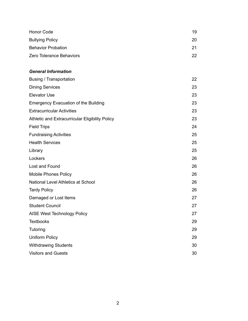| Honor Code                | 19  |
|---------------------------|-----|
| <b>Bullying Policy</b>    | 20  |
| <b>Behavior Probation</b> | 21  |
| Zero Tolerance Behaviors  | 22. |

#### *General Information*

| <b>Busing / Transportation</b>                  | 22 |
|-------------------------------------------------|----|
| <b>Dining Services</b>                          | 23 |
| <b>Elevator Use</b>                             | 23 |
| <b>Emergency Evacuation of the Building</b>     | 23 |
| <b>Extracurricular Activities</b>               | 23 |
| Athletic and Extracurricular Eligibility Policy | 23 |
| <b>Field Trips</b>                              | 24 |
| <b>Fundraising Activities</b>                   | 25 |
| <b>Health Services</b>                          | 25 |
| Library                                         | 25 |
| Lockers                                         | 26 |
| Lost and Found                                  | 26 |
| <b>Mobile Phones Policy</b>                     | 26 |
| National Level Athletics at School              | 26 |
| <b>Tardy Policy</b>                             | 26 |
| Damaged or Lost Items                           | 27 |
| <b>Student Council</b>                          | 27 |
| AISE West Technology Policy                     | 27 |
| <b>Textbooks</b>                                | 29 |
| Tutoring                                        | 29 |
| <b>Uniform Policy</b>                           | 29 |
| <b>Withdrawing Students</b>                     | 30 |
| <b>Visitors and Guests</b>                      | 30 |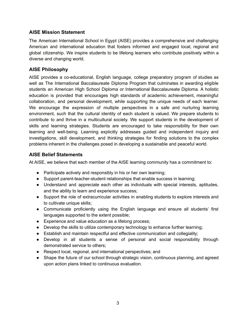#### **AISE Mission Statement**

The American International School in Egypt (AISE) provides a comprehensive and challenging American and international education that fosters informed and engaged local, regional and global citizenship. We inspire students to be lifelong learners who contribute positively within a diverse and changing world.

#### **AISE Philosophy**

AISE provides a co-educational, English language, college preparatory program of studies as well as The International Baccalaureate Diploma Program that culminates in awarding eligible students an American High School Diploma or International Baccalaureate Diploma. A holistic education is provided that encourages high standards of academic achievement, meaningful collaboration, and personal development, while supporting the unique needs of each learner. We encourage the expression of multiple perspectives in a safe and nurturing learning environment, such that the cultural identity of each student is valued. We prepare students to contribute to and thrive in a multicultural society. We support students in the development of skills and learning strategies. Students are encouraged to take responsibility for their own learning and well-being. Learning explicitly addresses guided and independent inquiry and investigations, skill development, and thinking strategies for finding solutions to the complex problems inherent in the challenges posed in developing a sustainable and peaceful world.

#### **AISE Belief Statements**

At AISE, we believe that each member of the AISE learning community has a commitment to:

- Participate actively and responsibly in his or her own learning;
- Support parent-teacher-student relationships that enable success in learning;
- Understand and appreciate each other as individuals with special interests, aptitudes, and the ability to learn and experience success;
- Support the role of extracurricular activities in enabling students to explore interests and to cultivate unique skills;
- Communicate proficiently using the English language and ensure all students' first languages supported to the extent possible;
- Experience and value education as a lifelong process;
- Develop the skills to utilize contemporary technology to enhance further learning;
- Establish and maintain respectful and effective communication and collegiality;
- Develop in all students a sense of personal and social responsibility through demonstrated service to others;
- Respect local, regional, and international perspectives; and
- Shape the future of our school through strategic vision, continuous planning, and agreed upon action plans linked to continuous evaluation.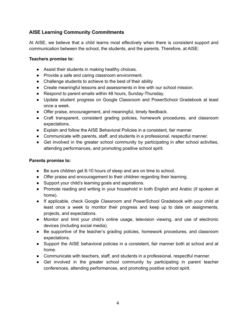#### **AISE Learning Community Commitments**

At AISE, we believe that a child learns most effectively when there is consistent support and communication between the school, the students, and the parents. Therefore, at AISE:

#### **Teachers promise to:**

- Assist their students in making healthy choices.
- Provide a safe and caring classroom environment.
- Challenge students to achieve to the best of their ability
- Create meaningful lessons and assessments in line with our school mission.
- Respond to parent emails within 48 hours, Sunday-Thursday.
- Update student progress on Google Classroom and PowerSchool Gradebook at least once a week.
- Offer praise, encouragement, and meaningful, timely feedback.
- Craft transparent, consistent grading policies, homework procedures, and classroom expectations.
- Explain and follow the AISE Behavioral Policies in a consistent, fair manner.
- Communicate with parents, staff, and students in a professional, respectful manner.
- Get involved in the greater school community by participating in after school activities, attending performances, and promoting positive school spirit.

#### **Parents promise to:**

- Be sure children get 8-10 hours of sleep and are on time to school.
- Offer praise and encouragement to their children regarding their learning.
- Support your child's learning goals and aspirations.
- Promote reading and writing in your household in both English and Arabic (if spoken at home).
- If applicable, check Google Classroom and PowerSchool Gradebook with your child at least once a week to monitor their progress and keep up to date on assignments, projects, and expectations.
- Monitor and limit your child's online usage, television viewing, and use of electronic devices (including social media).
- Be supportive of the teacher's grading policies, homework procedures, and classroom expectations.
- Support the AISE behavioral policies in a consistent, fair manner both at school and at home.
- Communicate with teachers, staff, and students in a professional, respectful manner.
- Get involved in the greater school community by participating in parent teacher conferences, attending performances, and promoting positive school spirit.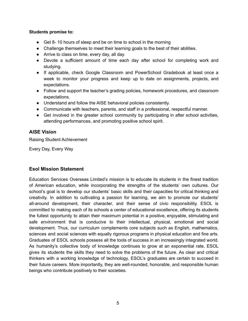#### **Students promise to:**

- Get 8-10 hours of sleep and be on time to school in the morning
- Challenge themselves to meet their learning goals to the best of their abilities.
- Arrive to class on time, every day, all day.
- Devote a sufficient amount of time each day after school for completing work and studying.
- If applicable, check Google Classroom and PowerSchool Gradebook at least once a week to monitor your progress and keep up to date on assignments, projects, and expectations.
- Follow and support the teacher's grading policies, homework procedures, and classroom expectations.
- Understand and follow the AISE behavioral policies consistently.
- Communicate with teachers, parents, and staff in a professional, respectful manner.
- Get involved in the greater school community by participating in after school activities, attending performances, and promoting positive school spirit.

#### **AISE Vision**

Raising Student Achievement

Every Day, Every Way

#### **Esol Mission Statement**

Education Services Overseas Limited's mission is to educate its students in the finest tradition of American education, while incorporating the strengths of the students' own cultures. Our school's goal is to develop our students' basic skills and their capacities for critical thinking and creativity. In addition to cultivating a passion for learning, we aim to promote our students' all-around development, their character, and their sense of civic responsibility. ESOL is committed to making each of its schools a center of educational excellence, offering its students the fullest opportunity to attain their maximum potential in a positive, enjoyable, stimulating and safe environment that is conducive to their intellectual, physical, emotional and social development. Thus, our curriculum complements core subjects such as English, mathematics, sciences and social sciences with equally rigorous programs in physical education and fine arts. Graduates of ESOL schools possess all the tools of success in an increasingly integrated world. As humanity's collective body of knowledge continues to grow at an exponential rate, ESOL gives its students the skills they need to solve the problems of the future. As clear and critical thinkers with a working knowledge of technology, ESOL's graduates are certain to succeed in their future careers. More importantly, they are well-rounded, honorable, and responsible human beings who contribute positively to their societies.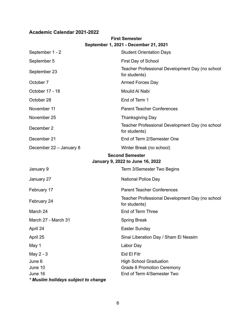#### **Academic Calendar 2021-2022**

| September 1, 2021 - December 21, 2021 |                                                                  |  |  |  |
|---------------------------------------|------------------------------------------------------------------|--|--|--|
| September 1 - 2                       | <b>Student Orientation Days</b>                                  |  |  |  |
| September 5                           | First Day of School                                              |  |  |  |
| September 23                          | Teacher Professional Development Day (no school<br>for students) |  |  |  |
| October 7                             | <b>Armed Forces Day</b>                                          |  |  |  |
| October 17 - 18                       | Moulid Al Nabi                                                   |  |  |  |
| October 28                            | End of Term 1                                                    |  |  |  |
| November 11                           | <b>Parent Teacher Conferences</b>                                |  |  |  |
| November 25                           | <b>Thanksgiving Day</b>                                          |  |  |  |
| December 2                            | Teacher Professional Development Day (no school<br>for students) |  |  |  |
| December 21                           | End of Term 2/Semester One                                       |  |  |  |
| December 22 - January 8               | Winter Break (no school)                                         |  |  |  |
| <b>Second Semester</b>                |                                                                  |  |  |  |
|                                       | January 9, 2022 to June 16, 2022                                 |  |  |  |
| January 9                             | Term 3/Semester Two Begins                                       |  |  |  |
| January 27                            | National Police Day                                              |  |  |  |
| February 17                           | <b>Parent Teacher Conferences</b>                                |  |  |  |
| February 24                           | Teacher Professional Development Day (no school<br>for students) |  |  |  |
| March 24                              | End of Term Three                                                |  |  |  |
| March 27 - March 31                   | <b>Spring Break</b>                                              |  |  |  |
| April 24                              | Easter Sunday                                                    |  |  |  |
| April 25                              | Sinai Liberation Day / Sham El Nessim                            |  |  |  |
| May 1                                 | Labor Day                                                        |  |  |  |
| May 2 - 3                             | Eid El Fitr                                                      |  |  |  |
| June 6                                | <b>High School Graduation</b>                                    |  |  |  |
| June 10                               | <b>Grade 8 Promotion Ceremony</b>                                |  |  |  |
| June 16                               | End of Term 4/Semester Two                                       |  |  |  |
| * Muslim holidays subject to change   |                                                                  |  |  |  |

## **First Semester**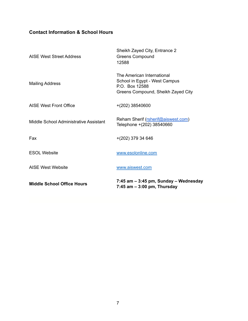### **Contact Information & School Hours**

| <b>Middle School Office Hours</b>      | 7:45 am - 3:45 pm, Sunday - Wednesday<br>$7:45$ am $-3:00$ pm, Thursday                                             |
|----------------------------------------|---------------------------------------------------------------------------------------------------------------------|
| <b>AISE West Website</b>               | www.aiswest.com                                                                                                     |
| <b>ESOL Website</b>                    | www.esolonline.com                                                                                                  |
| Fax                                    | $+(202)$ 379 34 646                                                                                                 |
| Middle School Administrative Assistant | Reham Sherif (rsherif@aiswest.com)<br>Telephone +(202) 38540660                                                     |
| AISE West Front Office                 | +(202) 38540600                                                                                                     |
| <b>Mailing Address</b>                 | The American International<br>School in Egypt - West Campus<br>P.O. Box 12588<br>Greens Compound, Sheikh Zayed City |
| <b>AISE West Street Address</b>        | Sheikh Zayed City, Entrance 2<br><b>Greens Compound</b><br>12588                                                    |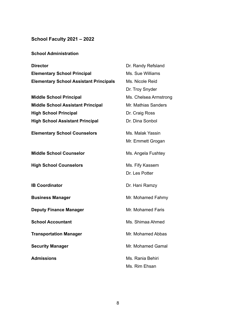## **School Faculty 2021 – 2022**

|  | <b>School Administration</b> |
|--|------------------------------|
|  |                              |

| <b>Director</b>                               | Dr. Randy Refsland    |
|-----------------------------------------------|-----------------------|
| <b>Elementary School Principal</b>            | Ms. Sue Williams      |
| <b>Elementary School Assistant Principals</b> | Ms. Nicole Reid       |
|                                               | Dr. Troy Snyder       |
| <b>Middle School Principal</b>                | Ms. Chelsea Armstrong |
| <b>Middle School Assistant Principal</b>      | Mr. Mathias Sanders   |
| <b>High School Principal</b>                  | Dr. Craig Ross        |
| <b>High School Assistant Principal</b>        | Dr. Dina Sonbol       |
| <b>Elementary School Counselors</b>           | Ms. Malak Yassin      |
|                                               | Mr. Emmett Grogan     |
| <b>Middle School Counselor</b>                | Ms. Angela Fushtey    |
| <b>High School Counselors</b>                 | Ms. Fify Kassem       |
|                                               | Dr. Les Potter        |
| <b>IB Coordinator</b>                         | Dr. Hani Ramzy        |
| <b>Business Manager</b>                       | Mr. Mohamed Fahmy     |
| <b>Deputy Finance Manager</b>                 | Mr. Mohamed Faris     |
| <b>School Accountant</b>                      | Ms. Shimaa Ahmed      |
| <b>Transportation Manager</b>                 | Mr. Mohamed Abbas     |
| <b>Security Manager</b>                       | Mr. Mohamed Gamal     |
| <b>Admissions</b>                             | Ms. Rania Behiri      |
|                                               | Ms. Rim Ehsan         |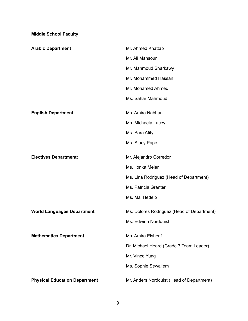**Middle School Faculty**

| <b>Arabic Department</b>             | Mr. Ahmed Khattab                          |
|--------------------------------------|--------------------------------------------|
|                                      | Mr. Ali Mansour                            |
|                                      | Mr. Mahmoud Sharkawy                       |
|                                      | Mr. Mohammed Hassan                        |
|                                      | Mr. Mohamed Ahmed                          |
|                                      | Ms. Sahar Mahmoud                          |
| <b>English Department</b>            | Ms. Amira Nabhan                           |
|                                      | Ms. Michaela Lucey                         |
|                                      | Ms. Sara Afify                             |
|                                      | Ms. Stacy Pape                             |
| <b>Electives Department:</b>         | Mr. Alejandro Corredor                     |
|                                      | Ms. Ilonka Meier                           |
|                                      | Ms. Lina Rodriguez (Head of Department)    |
|                                      | Ms. Patricia Granter                       |
|                                      | Ms. Mai Hedeib                             |
| <b>World Languages Department</b>    | Ms. Dolores Rodriguez (Head of Department) |
|                                      | Ms. Edwina Nordquist                       |
| <b>Mathematics Department</b>        | Ms. Amira Elsherif                         |
|                                      | Dr. Michael Heard (Grade 7 Team Leader)    |
|                                      | Mr. Vince Yung                             |
|                                      | Ms. Sophie Sewailem                        |
| <b>Physical Education Department</b> | Mr. Anders Nordquist (Head of Department)  |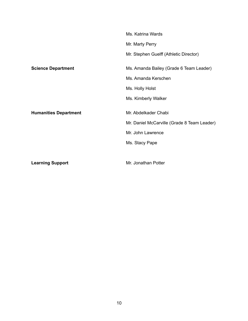|                              | Ms. Katrina Wards                           |
|------------------------------|---------------------------------------------|
|                              | Mr. Marty Perry                             |
|                              | Mr. Stephen Guelff (Athletic Director)      |
| <b>Science Department</b>    | Ms. Amanda Bailey (Grade 6 Team Leader)     |
|                              | Ms. Amanda Kerschen                         |
|                              | Ms. Holly Holst                             |
|                              | Ms. Kimberly Walker                         |
| <b>Humanities Department</b> | Mr. Abdelkader Chabi                        |
|                              | Mr. Daniel McCarville (Grade 8 Team Leader) |
|                              | Mr. John Lawrence                           |
|                              | Ms. Stacy Pape                              |
|                              |                                             |
| <b>Learning Support</b>      | Mr. Jonathan Potter                         |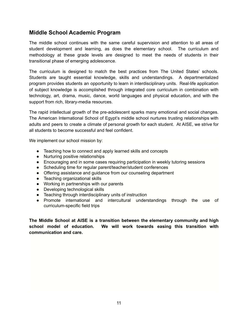### **Middle School Academic Program**

The middle school continues with the same careful supervision and attention to all areas of student development and learning, as does the elementary school. The curriculum and methodology at these grade levels are designed to meet the needs of students in their transitional phase of emerging adolescence.

The curriculum is designed to match the best practices from The United States' schools. Students are taught essential knowledge, skills and understandings. A departmentalized program provides students an opportunity to learn in interdisciplinary units. Real-life application of subject knowledge is accomplished through integrated core curriculum in combination with technology, art, drama, music, dance, world languages and physical education, and with the support from rich, library-media resources.

The rapid intellectual growth of the pre-adolescent sparks many emotional and social changes. The American International School of Egypt's middle school nurtures trusting relationships with adults and peers to create a climate of personal growth for each student. At AISE, we strive for all students to become successful and feel confident.

We implement our school mission by:

- Teaching how to connect and apply learned skills and concepts
- Nurturing positive relationships
- Encouraging and in some cases requiring participation in weekly tutoring sessions
- Scheduling time for regular parent/teacher/student conferences
- Offering assistance and guidance from our counseling department
- Teaching organizational skills
- Working in partnerships with our parents
- Developing technological skills
- Teaching through interdisciplinary units of instruction
- Promote international and intercultural understandings through the use of curriculum-specific field trips

**The Middle School at AISE is a transition between the elementary community and high school model of education. We will work towards easing this transition with communication and care.**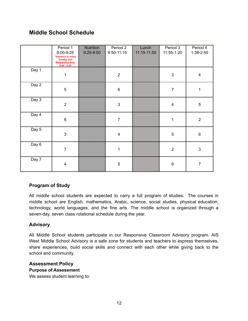## **Middle School Schedule**

|       | Period 1<br>8:00-9:25<br>*Advisory is every<br><b>Sunday and</b><br><b>Wednesday from</b><br>$8:00 - 8:30$ | Nutrition<br>$9:25-9:50$ | Period 2<br>$9:50 - 11:15$ | Lunch<br>11:15-11:55 | Period 3<br>11:55-1:20  | Period 4<br>1:38-2:50   |
|-------|------------------------------------------------------------------------------------------------------------|--------------------------|----------------------------|----------------------|-------------------------|-------------------------|
| Day 1 | $\mathbf{1}$                                                                                               |                          | $\sqrt{2}$                 |                      | $\mathbf{3}$            | $\overline{\mathbf{4}}$ |
| Day 2 | $\sqrt{5}$                                                                                                 |                          | $\,6\,$                    |                      | $\overline{7}$          | 1                       |
| Day 3 | $\overline{2}$                                                                                             |                          | $\mathfrak{S}$             |                      | $\overline{\mathbf{4}}$ | $\sqrt{5}$              |
| Day 4 | $\,6\,$                                                                                                    |                          | $\overline{7}$             |                      | $\mathbf{1}$            | $\overline{2}$          |
| Day 5 | $\mathfrak{S}$                                                                                             |                          | $\overline{\mathbf{4}}$    |                      | $\overline{5}$          | $\,6\,$                 |
| Day 6 | $\overline{7}$                                                                                             |                          | $\mathbf 1$                |                      | $\overline{2}$          | $\sqrt{3}$              |
| Day 7 | $\overline{4}$                                                                                             |                          | $\sqrt{5}$                 |                      | $\,6$                   | $\overline{7}$          |

#### **Program of Study**

All middle school students are expected to carry a full program of studies. The courses in middle school are English, mathematics, Arabic, science, social studies, physical education, technology, world languages, and the fine arts. The middle school is organized through a seven-day, seven class rotational schedule during the year.

#### **Advisory**

All Middle School students participate in our Responsive Classroom Advisory program. AIS West Middle School Advisory is a safe zone for students and teachers to express themselves, share experiences, build social skills and connect with each other while giving back to the school and community.

#### **Assessment Policy**

#### **Purpose of Assessment**

We assess student learning to: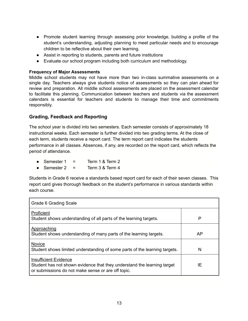- Promote student learning through assessing prior knowledge, building a profile of the student's understanding, adjusting planning to meet particular needs and to encourage children to be reflective about their own learning.
- Assist in reporting to students, parents and future institutions
- Evaluate our school program including both curriculum and methodology.

#### **Frequency of Major Assessments**

Middle school students may not have more than two in-class summative assessments on a single day. Teachers always give students notice of assessments so they can plan ahead for review and preparation. All middle school assessments are placed on the assessment calendar to facilitate this planning. Communication between teachers and students via the assessment calendars is essential for teachers and students to manage their time and commitments responsibly.

#### **Grading, Feedback and Reporting**

The school year is divided into two semesters. Each semester consists of approximately 18 instructional weeks. Each semester is further divided into two grading terms. At the close of each term, students receive a report card. The term report card indicates the students performance in all classes. Absences, if any, are recorded on the report card, which reflects the period of attendance.

- Semester  $1 =$  Term  $1 & 8$  Term  $2$
- $\bullet$  Semester 2 = Term 3 & Term 4

Students in Grade 6 receive a standards based report card for each of their seven classes. This report card gives thorough feedback on the student's performance in various standards within each course.

| Grade 6 Grading Scale                                                                                                                                         |    |
|---------------------------------------------------------------------------------------------------------------------------------------------------------------|----|
| Proficient<br>Student shows understanding of all parts of the learning targets.                                                                               | P  |
| Approaching<br>Student shows understanding of many parts of the learning targets.                                                                             | AP |
| Novice<br>Student shows limited understanding of some parts of the learning targets.                                                                          | N  |
| <b>Insufficient Evidence</b><br>Student has not shown evidence that they understand the learning target<br>or submissions do not make sense or are off topic. | ΙE |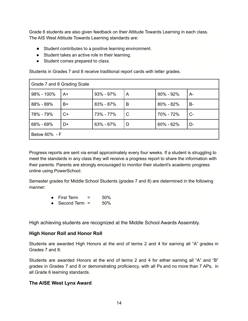Grade 6 students are also given feedback on their Attitude Towards Learning in each class. The AIS West Attitude Towards Learning standards are:

- Student contributes to a positive learning environment.
- Student takes an active role in their learning.
- Student comes prepared to class.

Students in Grades 7 and 8 receive traditional report cards with letter grades.

| Grade 7 and 8 Grading Scale |      |               |   |               |       |
|-----------------------------|------|---------------|---|---------------|-------|
| 98% - 100%                  | A+   | $93\% - 97\%$ | A | $90\% - 92\%$ | $A -$ |
| 88% - 89%                   | B+   | $83\% - 87\%$ | B | $80\% - 82\%$ | B-    |
| 78% - 79%                   | $C+$ | 73% - 77%     | C | 70% - 72%     | $C-$  |
| 68% - 69%                   | D+   | $63\% - 67\%$ | D | $60\% - 62\%$ | D-    |
| Below 60% - F               |      |               |   |               |       |

Progress reports are sent via email approximately every four weeks. If a student is struggling to meet the standards in any class they will receive a progress report to share the information with their parents. Parents are strongly encouraged to monitor their student's academic progress online using PowerSchool.

Semester grades for Middle School Students (grades 7 and 8) are determined in the following manner:

- First Term = 50%
- $\bullet$  Second Term =  $50\%$

High achieving students are recognized at the Middle School Awards Assembly.

#### **High Honor Roll and Honor Roll**

Students are awarded High Honors at the end of terms 2 and 4 for earning all "A" grades in Grades 7 and 8.

Students are awarded Honors at the end of terms 2 and 4 for either earning all "A" and "B" grades in Grades 7 and 8 or demonstrating proficiency, with all Ps and no more than 7 APs, in all Grade 6 learning standards.

#### **The AISE West Lynx Award**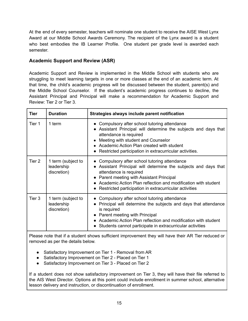At the end of every semester, teachers will nominate one student to receive the AISE West Lynx Award at our Middle School Awards Ceremony. The recipient of the Lynx award is a student who best embodies the IB Learner Profile. One student per grade level is awarded each semester.

#### **Academic Support and Review (ASR)**

Academic Support and Review is implemented in the Middle School with students who are struggling to meet learning targets in one or more classes at the end of an academic term. At that time, the child's academic progress will be discussed between the student, parent(s) and the Middle School Counselor. If the student's academic progress continues to decline, the Assistant Principal and Principal will make a recommendation for Academic Support and Review: Tier 2 or Tier 3.

| Tier   | <b>Duration</b>                                 | Strategies always include parent notification                                                                                                                                                                                                                                                                          |
|--------|-------------------------------------------------|------------------------------------------------------------------------------------------------------------------------------------------------------------------------------------------------------------------------------------------------------------------------------------------------------------------------|
| Tier 1 | 1 term                                          | • Compulsory after school tutoring attendance<br>• Assistant Principal will determine the subjects and days that<br>attendance is required<br>• Meeting with student and Counselor<br>• Academic Action Plan created with student<br>• Restricted participation in extracurricular activities.                         |
| Tier 2 | 1 term (subject to<br>leadership<br>discretion) | • Compulsory after school tutoring attendance<br>• Assistant Principal will determine the subjects and days that<br>attendance is required<br>• Parent meeting with Assistant Principal<br>• Academic Action Plan reflection and modification with student<br>• Restricted participation in extracurricular activities |
| Tier 3 | 1 term (subject to<br>leadership<br>discretion) | • Compulsory after school tutoring attendance<br>Principal will determine the subjects and days that attendance<br>is required<br>• Parent meeting with Principal<br>• Academic Action Plan reflection and modification with student<br>• Students cannot participate in extracurricular activities                    |

Please note that if a student shows sufficient improvement they will have their AR Tier reduced or removed as per the details below.

- Satisfactory Improvement on Tier 1 Removal from AR
- Satisfactory Improvement on Tier 2 Placed on Tier 1
- Satisfactory Improvement on Tier 3 Placed on Tier 2

If a student does not show satisfactory improvement on Tier 3, they will have their file referred to the AIS West Director. Options at this point could include enrollment in summer school, alternative lesson delivery and instruction, or discontinuation of enrollment.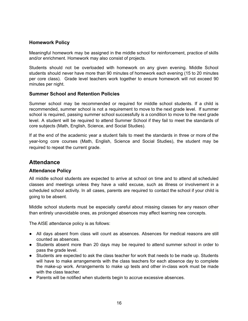#### **Homework Policy**

Meaningful homework may be assigned in the middle school for reinforcement, practice of skills and/or enrichment. Homework may also consist of projects.

Students should not be overloaded with homework on any given evening. Middle School students should never have more than 90 minutes of homework each evening (15 to 20 minutes per core class). Grade level teachers work together to ensure homework will not exceed 90 minutes per night.

#### **Summer School and Retention Policies**

Summer school may be recommended or required for middle school students. If a child is recommended, summer school is not a requirement to move to the next grade level. If summer school is required, passing summer school successfully is a condition to move to the next grade level. A student will be required to attend Summer School if they fail to meet the standards of core subjects (Math, English, Science, and Social Studies).

If at the end of the academic year a student fails to meet the standards in three or more of the year-long core courses (Math, English, Science and Social Studies), the student may be required to repeat the current grade.

#### **Attendance**

#### **Attendance Policy**

All middle school students are expected to arrive at school on time and to attend all scheduled classes and meetings unless they have a valid excuse, such as illness or involvement in a scheduled school activity. In all cases, parents are required to contact the school if your child is going to be absent.

Middle school students must be especially careful about missing classes for any reason other than entirely unavoidable ones, as prolonged absences may affect learning new concepts.

The AISE attendance policy is as follows:

- All days absent from class will count as absences. Absences for medical reasons are still counted as absences.
- Students absent more than 20 days may be required to attend summer school in order to pass the grade level.
- Students are expected to ask the class teacher for work that needs to be made up. Students will have to make arrangements with the class teachers for each absence day to complete the make-up work. Arrangements to make up tests and other in-class work must be made with the class teacher.
- Parents will be notified when students begin to accrue excessive absences.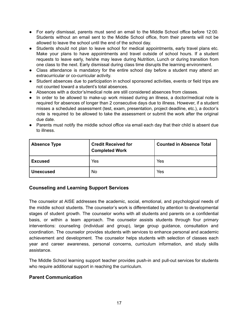- For early dismissal, parents must send an email to the Middle School office before 12:00. Students without an email sent to the Middle School office, from their parents will not be allowed to leave the school until the end of the school day.
- **●** Students should not plan to leave school for medical appointments, early travel plans etc. Make your plans to have appointments and travel outside of school hours. If a student requests to leave early, he/she may leave during Nutrition, Lunch or during transition from one class to the next. Early dismissal during class time disrupts the learning environment.
- Class attendance is mandatory for the entire school day before a student may attend an extracurricular or co-curricular activity.
- **●** Student absences due to participation in school sponsored activities, events or field trips are not counted toward a student's total absences.
- **●** Absences with a doctor's/medical note are still considered absences from classes.
- **●** In order to be allowed to make-up work missed during an illness, a doctor/medical note is required for absences of longer than 2 consecutive days due to illness. However, if a student misses a scheduled assessment (test, exam, presentation, project deadline, etc.), a doctor's note is required to be allowed to take the assessment or submit the work after the original due date.
- **●** Parents must notify the middle school office via email each day that their child is absent due to illness.

| <b>Absence Type</b> | <b>Credit Received for</b><br><b>Completed Work</b> | <b>Counted in Absence Total</b> |
|---------------------|-----------------------------------------------------|---------------------------------|
| <b>Excused</b>      | Yes                                                 | Yes                             |
| <b>Unexcused</b>    | No                                                  | Yes                             |

#### **Counseling and Learning Support Services**

The counselor at AISE addresses the academic, social, emotional, and psychological needs of the middle school students. The counselor's work is differentiated by attention to developmental stages of student growth. The counselor works with all students and parents on a confidential basis, or within a team approach. The counselor assists students through four primary interventions: counseling (individual and group), large group guidance, consultation and coordination. The counselor provides students with services to enhance personal and academic achievement and development. The counselor helps students with selection of classes each year and career awareness, personal concerns, curriculum information, and study skills assistance.

The Middle School learning support teacher provides push-in and pull-out services for students who require additional support in reaching the curriculum.

#### **Parent Communication**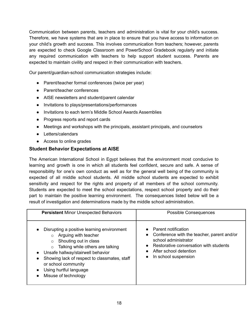Communication between parents, teachers and administration is vital for your child's success. Therefore, we have systems that are in place to ensure that you have access to information on your child's growth and success. This involves communication from teachers; however, parents are expected to check Google Classroom and PowerSchool Gradebook regularly and initiate any required communication with teachers to help support student success. Parents are expected to maintain civility and respect in their communication with teachers.

Our parent/guardian-school communication strategies include:

- Parent/teacher formal conferences (twice per year)
- Parent/teacher conferences
- AISE newsletters and student/parent calendar
- Invitations to plays/presentations/performances
- Invitations to each term's Middle School Awards Assemblies
- Progress reports and report cards
- Meetings and workshops with the principals, assistant principals, and counselors
- Letters/calendars
- Access to online grades

#### **Student Behavior Expectations at AISE**

The American International School in Egypt believes that the environment most conducive to learning and growth is one in which all students feel confident, secure and safe. A sense of responsibility for one's own conduct as well as for the general well being of the community is expected of all middle school students. All middle school students are expected to exhibit sensitivity and respect for the rights and property of all members of the school community. Students are expected to meet the school expectations, respect school property and do their part to maintain the positive learning environment. The consequences listed below will be a result of investigation and determinations made by the middle school administration.

| <b>Persistent Minor Unexpected Behaviors</b>                                                                                                                                                                                                                                                                                                             | <b>Possible Consequences</b>                                                                                                                                                          |  |
|----------------------------------------------------------------------------------------------------------------------------------------------------------------------------------------------------------------------------------------------------------------------------------------------------------------------------------------------------------|---------------------------------------------------------------------------------------------------------------------------------------------------------------------------------------|--|
| Disrupting a positive learning environment<br>Arguing with teacher<br>$\circ$<br>Shouting out in class<br>$\circ$<br>Talking while others are talking<br>$\circ$<br>Unsafe hallway/stairwell behavior<br>$\bullet$<br>Showing lack of respect to classmates, staff<br>$\bullet$<br>or school community<br>Using hurtful language<br>Misuse of technology | Parent notification<br>Conference with the teacher, parent and/or<br>school administrator<br>Restorative conversation with students<br>After school detention<br>In school suspension |  |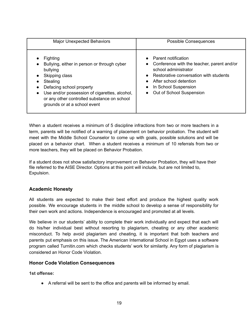| <b>Major Unexpected Behaviors</b>                                                                                                                                                                                                                                                                                                           | <b>Possible Consequences</b>                                                                                                                                                                                             |  |
|---------------------------------------------------------------------------------------------------------------------------------------------------------------------------------------------------------------------------------------------------------------------------------------------------------------------------------------------|--------------------------------------------------------------------------------------------------------------------------------------------------------------------------------------------------------------------------|--|
| Fighting<br>$\bullet$<br>Bullying, either in person or through cyber<br>$\bullet$<br>bullying<br>Skipping class<br>$\bullet$<br>Stealing<br>$\bullet$<br>Defacing school property<br>$\bullet$<br>Use and/or possession of cigarettes, alcohol,<br>$\bullet$<br>or any other controlled substance on school<br>grounds or at a school event | <b>Parent notification</b><br>Conference with the teacher, parent and/or<br>school administrator<br>Restorative conversation with students<br>After school detention<br>In School Suspension<br>Out of School Suspension |  |

When a student receives a minimum of 5 discipline infractions from two or more teachers in a term, parents will be notified of a warning of placement on behavior probation. The student will meet with the Middle School Counselor to come up with goals, possible solutions and will be placed on a behavior chart. When a student receives a minimum of 10 referrals from two or more teachers, they will be placed on Behavior Probation.

If a student does not show satisfactory improvement on Behavior Probation, they will have their file referred to the AISE Director. Options at this point will include, but are not limited to, Expulsion.

#### **Academic Honesty**

All students are expected to make their best effort and produce the highest quality work possible. We encourage students in the middle school to develop a sense of responsibility for their own work and actions. Independence is encouraged and promoted at all levels.

We believe in our students' ability to complete their work individually and expect that each will do his/her individual best without resorting to plagiarism, cheating or any other academic misconduct. To help avoid plagiarism and cheating, it is important that both teachers and parents put emphasis on this issue. The American International School in Egypt uses a software program called Turnitin.com which checks students' work for similarity. Any form of plagiarism is considered an Honor Code Violation.

#### **Honor Code Violation Consequences**

**1st offense:**

● A referral will be sent to the office and parents will be informed by email.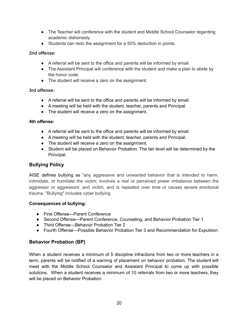- The Teacher will conference with the student and Middle School Counselor regarding academic dishonesty.
- Students can redo the assignment for a 50% deduction in points.

#### **2nd offense:**

- A referral will be sent to the office and parents will be informed by email.
- The Assistant Principal will conference with the student and make a plan to abide by the honor code.
- The student will receive a zero on the assignment.

#### **3rd offense:**

- A referral will be sent to the office and parents will be informed by email.
- A meeting will be held with the student, teacher, parents and Principal.
- The student will receive a zero on the assignment.

#### **4th offense:**

- A referral will be sent to the office and parents will be informed by email.
- A meeting will be held with the student, teacher, parents and Principal.
- The student will receive a zero on the assignment.
- Student will be placed on Behavior Probation. The tier level will be determined by the Principal.

#### **Bullying Policy**

AISE defines bullying as "any aggressive and unwanted behavior that is intended to harm, intimidate, or humiliate the victim; involves a real or perceived power imbalance between the aggressor or aggressors' and victim; and is repeated over time or causes severe emotional trauma. "Bullying" includes cyber bullying.

#### **Consequences of bullying:**

- First Offense—Parent Conference
- Second Offense—Parent Conference, Counseling, and Behavior Probation Tier 1
- Third Offense—Behavior Probation Tier 2
- Fourth Offense—Possible Behavior Probation Tier 3 and Recommendation for Expulsion

#### **Behavior Probation (BP)**

When a student receives a minimum of 5 discipline infractions from two or more teachers in a term, parents will be notified of a warning of placement on behavior probation. The student will meet with the Middle School Counselor and Assistant Principal to come up with possible solutions. When a student receives a minimum of 10 referrals from two or more teachers, they will be placed on Behavior Probation.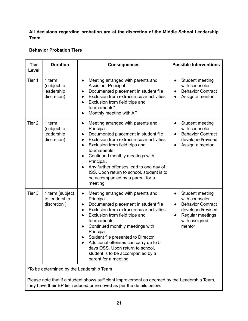**All decisions regarding probation are at the discretion of the Middle School Leadership Team.**

#### **Behavior Probation Tiers**

| <b>Tier</b><br>Level | <b>Duration</b>                                    | <b>Consequences</b>                                                                                                                                                                                                                                                                                                                                                                                                                                           | <b>Possible Interventions</b>                                                                                                                                            |
|----------------------|----------------------------------------------------|---------------------------------------------------------------------------------------------------------------------------------------------------------------------------------------------------------------------------------------------------------------------------------------------------------------------------------------------------------------------------------------------------------------------------------------------------------------|--------------------------------------------------------------------------------------------------------------------------------------------------------------------------|
| Tier 1               | 1 term<br>(subject to<br>leadership<br>discretion) | Meeting arranged with parents and<br>$\bullet$<br><b>Assistant Principal</b><br>Documented placement in student file<br>Exclusion from extracurricular activities<br>$\bullet$<br>Exclusion from field trips and<br>$\bullet$<br>tournaments*<br>Monthly meeting with AP<br>$\bullet$                                                                                                                                                                         | Student meeting<br>$\bullet$<br>with counselor<br><b>Behavior Contract</b><br>$\bullet$<br>Assign a mentor                                                               |
| Tier <sub>2</sub>    | 1 term<br>(subject to<br>leadership<br>discretion) | Meeting arranged with parents and<br>$\bullet$<br>Principal.<br>Documented placement in student file<br>$\bullet$<br>Exclusion from extracurricular activities<br>$\bullet$<br>Exclusion from field trips and<br>$\bullet$<br>tournaments<br>Continued monthly meetings with<br>Principal.<br>Any further offenses lead to one day of<br>ISS. Upon return to school, student is to<br>be accompanied by a parent for a<br>meeting                             | Student meeting<br>$\bullet$<br>with counselor<br><b>Behavior Contract</b><br>$\bullet$<br>developed/revised<br>Assign a mentor<br>$\bullet$                             |
| Tier <sub>3</sub>    | 1 term (subject<br>to leadership<br>discretion)    | Meeting arranged with parents and<br>Principal.<br>Documented placement in student file<br>Exclusion from extracurricular activities<br>$\bullet$<br>Exclusion from field trips and<br>$\bullet$<br>tournaments<br>Continued monthly meetings with<br>Principal.<br>Student file presented to Director<br>Additional offenses can carry up to 5<br>$\bullet$<br>days OSS. Upon return to school,<br>student is to be accompanied by a<br>parent for a meeting | Student meeting<br>$\bullet$<br>with counselor<br><b>Behavior Contract</b><br>$\bullet$<br>developed/revised<br>Regular meetings<br>$\bullet$<br>with assigned<br>mentor |

\*To be determined by the Leadership Team

Please note that if a student shows sufficient improvement as deemed by the Leadership Team, they have their BP tier reduced or removed as per the details below.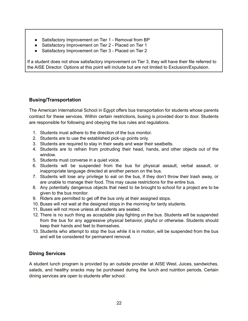- Satisfactory Improvement on Tier 1 Removal from BP
- Satisfactory Improvement on Tier 2 Placed on Tier 1
- Satisfactory Improvement on Tier 3 Placed on Tier 2

If a student does not show satisfactory improvement on Tier 3, they will have their file referred to the AISE Director. Options at this point will include but are not limited to Exclusion/Expulsion.

#### **Busing/Transportation**

The American International School in Egypt offers bus transportation for students whose parents contract for these services. Within certain restrictions, busing is provided door to door. Students are responsible for following and obeying the bus rules and regulations.

- 1. Students must adhere to the direction of the bus monitor.
- 2. Students are to use the established pick-up points only.
- 3. Students are required to stay in their seats and wear their seatbelts.
- 4. Students are to refrain from protruding their head, hands, and other objects out of the window.
- 5. Students must converse in a quiet voice.
- 6. Students will be suspended from the bus for physical assault, verbal assault, or inappropriate language directed at another person on the bus.
- 7. Students will lose any privilege to eat on the bus, if they don't throw their trash away, or are unable to manage their food. This may cause restrictions for the entire bus.
- 8. Any potentially dangerous objects that need to be brought to school for a project are to be given to the bus monitor.
- 9. Riders are permitted to get off the bus only at their assigned stops.
- 10. Buses will not wait at the designed stops in the morning for tardy students.
- 11. Buses will not move unless all students are seated.
- 12. There is no such thing as acceptable play fighting on the bus. Students will be suspended from the bus for any aggressive physical behavior, playful or otherwise. Students should keep their hands and feet to themselves.
- 13. Students who attempt to stop the bus while it is in motion, will be suspended from the bus and will be considered for permanent removal.

#### **Dining Services**

A student lunch program is provided by an outside provider at AISE West. Juices, sandwiches, salads, and healthy snacks may be purchased during the lunch and nutrition periods. Certain dining services are open to students after school.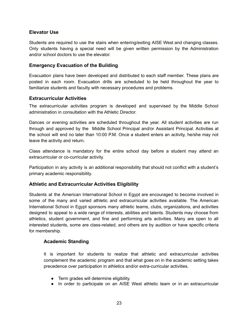#### **Elevator Use**

Students are required to use the stairs when entering/exiting AISE West and changing classes. Only students having a special need will be given written permission by the Administration and/or school doctors to use the elevator.

#### **Emergency Evacuation of the Building**

Evacuation plans have been developed and distributed to each staff member. These plans are posted in each room. Evacuation drills are scheduled to be held throughout the year to familiarize students and faculty with necessary procedures and problems.

#### **Extracurricular Activities**

The extracurricular activities program is developed and supervised by the Middle School administration in consultation with the Athletic Director.

Dances or evening activities are scheduled throughout the year. All student activities are run through and approved by the Middle School Principal and/or Assistant Principal. Activities at the school will end no later than 10:00 P.M. Once a student enters an activity, he/she may not leave the activity and return.

Class attendance is mandatory for the entire school day before a student may attend an extracurricular or co-curricular activity.

Participation in any activity is an additional responsibility that should not conflict with a student's primary academic responsibility.

#### **Athletic and Extracurricular Activities Eligibility**

Students at the American International School in Egypt are encouraged to become involved in some of the many and varied athletic and extracurricular activities available. The American International School in Egypt sponsors many athletic teams, clubs, organizations, and activities designed to appeal to a wide range of interests, abilities and talents. Students may choose from athletics, student government, and fine and performing arts activities. Many are open to all interested students, some are class-related, and others are by audition or have specific criteria for membership.

#### **Academic Standing**

It is important for students to realize that athletic and extracurricular activities complement the academic program and that what goes on in the academic setting takes precedence over participation in athletics and/or extra-curricular activities.

- Term grades will determine eligibility.
- In order to participate on an AISE West athletic team or in an extracurricular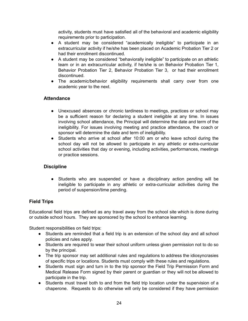activity, students must have satisfied all of the behavioral and academic eligibility requirements prior to participation.

- A student may be considered "academically ineligible" to participate in an extracurricular activity if he/she has been placed on Academic Probation Tier 2 or had their enrollment discontinued.
- A student may be considered "behaviorally ineligible" to participate on an athletic team or in an extracurricular activity, if he/she is on Behavior Probation Tier 1, Behavior Probation Tier 2, Behavior Probation Tier 3, or had their enrollment discontinued.
- The academic/behavior eligibility requirements shall carry over from one academic year to the next.

#### **Attendance**

- Unexcused absences or chronic tardiness to meetings, practices or school may be a sufficient reason for declaring a student ineligible at any time. In issues involving school attendance, the Principal will determine the date and term of the ineligibility. For issues involving meeting and practice attendance, the coach or sponsor will determine the date and term of ineligibility.
- Students who arrive at school after 10:00 am or who leave school during the school day will not be allowed to participate in any athletic or extra-curricular school activities that day or evening, including activities, performances, meetings or practice sessions.

#### **Discipline**

● Students who are suspended or have a disciplinary action pending will be ineligible to participate in any athletic or extra-curricular activities during the period of suspension/time pending.

#### **Field Trips**

Educational field trips are defined as any travel away from the school site which is done during or outside school hours. They are sponsored by the school to enhance learning.

Student responsibilities on field trips:

- Students are reminded that a field trip is an extension of the school day and all school policies and rules apply.
- Students are required to wear their school uniform unless given permission not to do so by the principal.
- The trip sponsor may set additional rules and regulations to address the idiosyncrasies of specific trips or locations. Students must comply with these rules and regulations.
- Students must sign and turn in to the trip sponsor the Field Trip Permission Form and Medical Release Form signed by their parent or guardian or they will not be allowed to participate in the trip.
- Students must travel both to and from the field trip location under the supervision of a chaperone. Requests to do otherwise will only be considered if they have permission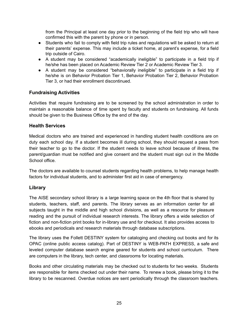from the Principal at least one day prior to the beginning of the field trip who will have confirmed this with the parent by phone or in person.

- Students who fail to comply with field trip rules and regulations will be asked to return at their parents' expense. This may include a ticket home, at parent's expense, for a field trip outside of Cairo.
- A student may be considered "academically ineligible" to participate in a field trip if he/she has been placed on Academic Review Tier 2 or Academic Review Tier 3.
- A student may be considered "behaviorally ineligible" to participate in a field trip if he/she is on Behavior Probation Tier 1, Behavior Probation Tier 2, Behavior Probation Tier 3, or had their enrollment discontinued.

#### **Fundraising Activities**

Activities that require fundraising are to be screened by the school administration in order to maintain a reasonable balance of time spent by faculty and students on fundraising. All funds should be given to the Business Office by the end of the day.

#### **Health Services**

Medical doctors who are trained and experienced in handling student health conditions are on duty each school day. If a student becomes ill during school, they should request a pass from their teacher to go to the doctor. If the student needs to leave school because of illness, the parent/guardian must be notified and give consent and the student must sign out in the Middle School office.

The doctors are available to counsel students regarding health problems, to help manage health factors for individual students, and to administer first aid in case of emergency.

#### **Library**

The AISE secondary school library is a large learning space on the 4th floor that is shared by students, teachers, staff, and parents. The library serves as an information center for all subjects taught in the middle and high school divisions, as well as a resource for pleasure reading and the pursuit of individual research interests. The library offers a wide selection of fiction and non-fiction print books for in-library use and for checkout. It also provides access to ebooks and periodicals and research materials through database subscriptions.

The library uses the Follett DESTINY system for cataloging and checking out books and for its OPAC (online public access catalog). Part of DESTINY is WEB-PATH EXPRESS, a safe and leveled computer database search engine geared for students and school curriculum. There are computers in the library, tech center, and classrooms for locating materials.

Books and other circulating materials may be checked out to students for two weeks. Students are responsible for items checked out under their name. To renew a book, please bring it to the library to be rescanned. Overdue notices are sent periodically through the classroom teachers.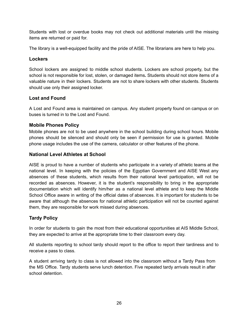Students with lost or overdue books may not check out additional materials until the missing items are returned or paid for.

The library is a well-equipped facility and the pride of AISE. The librarians are here to help you.

#### **Lockers**

School lockers are assigned to middle school students. Lockers are school property, but the school is not responsible for lost, stolen, or damaged items**.** Students should not store items of a valuable nature in their lockers. Students are not to share lockers with other students. Students should use only their assigned locker.

#### **Lost and Found**

A Lost and Found area is maintained on campus. Any student property found on campus or on buses is turned in to the Lost and Found.

#### **Mobile Phones Policy**

Mobile phones are not to be used anywhere in the school building during school hours. Mobile phones should be silenced and should only be seen if permission for use is granted. Mobile phone usage includes the use of the camera, calculator or other features of the phone.

#### **National Level Athletes at School**

AISE is proud to have a number of students who participate in a variety of athletic teams at the national level. In keeping with the policies of the Egyptian Government and AISE West any absences of these students, which results from their national level participation, will not be recorded as absences. However, it is the student's responsibility to bring in the appropriate documentation which will identify him/her as a national level athlete and to keep the Middle School Office aware in writing of the official dates of absences. It is important for students to be aware that although the absences for national athletic participation will not be counted against them, they are responsible for work missed during absences.

#### **Tardy Policy**

In order for students to gain the most from their educational opportunities at AIS Middle School, they are expected to arrive at the appropriate time to their classroom every day.

All students reporting to school tardy should report to the office to report their tardiness and to receive a pass to class.

A student arriving tardy to class is not allowed into the classroom without a Tardy Pass from the MS Office. Tardy students serve lunch detention. Five repeated tardy arrivals result in after school detention.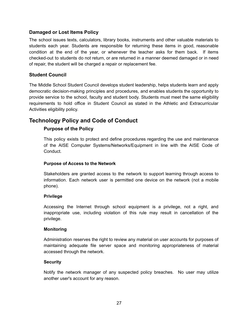#### **Damaged or Lost Items Policy**

The school issues texts, calculators, library books, instruments and other valuable materials to students each year. Students are responsible for returning these items in good, reasonable condition at the end of the year, or whenever the teacher asks for them back. If items checked-out to students do not return, or are returned in a manner deemed damaged or in need of repair, the student will be charged a repair or replacement fee.

#### **Student Council**

The Middle School Student Council develops student leadership, helps students learn and apply democratic decision-making principles and procedures, and enables students the opportunity to provide service to the school, faculty and student body. Students must meet the same eligibility requirements to hold office in Student Council as stated in the Athletic and Extracurricular Activities eligibility policy.

### **Technology Policy and Code of Conduct**

#### **Purpose of the Policy**

This policy exists to protect and define procedures regarding the use and maintenance of the AISE Computer Systems/Networks/Equipment in line with the AISE Code of Conduct.

#### **Purpose of Access to the Network**

Stakeholders are granted access to the network to support learning through access to information. Each network user is permitted one device on the network (not a mobile phone).

#### **Privilege**

Accessing the Internet through school equipment is a privilege, not a right, and inappropriate use, including violation of this rule may result in cancellation of the privilege.

#### **Monitoring**

Administration reserves the right to review any material on user accounts for purposes of maintaining adequate file server space and monitoring appropriateness of material accessed through the network.

#### **Security**

Notify the network manager of any suspected policy breaches. No user may utilize another user's account for any reason.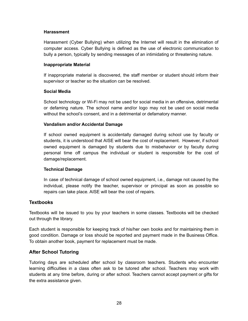#### **Harassment**

Harassment (Cyber Bullying) when utilizing the Internet will result in the elimination of computer access. Cyber Bullying is defined as the use of electronic communication to bully a person, typically by sending messages of an intimidating or threatening nature.

#### **Inappropriate Material**

If inappropriate material is discovered, the staff member or student should inform their supervisor or teacher so the situation can be resolved.

#### **Social Media**

School technology or Wi-Fi may not be used for social media in an offensive, detrimental or defaming nature. The school name and/or logo may not be used on social media without the school's consent, and in a detrimental or defamatory manner.

#### **Vandalism and/or Accidental Damage**

If school owned equipment is accidentally damaged during school use by faculty or students, it is understood that AISE will bear the cost of replacement. However, if school owned equipment is damaged by students due to misbehavior or by faculty during personal time off campus the individual or student is responsible for the cost of damage/replacement.

#### **Technical Damage**

In case of technical damage of school owned equipment, i.e., damage not caused by the individual, please notify the teacher, supervisor or principal as soon as possible so repairs can take place. AISE will bear the cost of repairs.

#### **Textbooks**

Textbooks will be issued to you by your teachers in some classes. Textbooks will be checked out through the library.

Each student is responsible for keeping track of his/her own books and for maintaining them in good condition. Damage or loss should be reported and payment made in the Business Office. To obtain another book, payment for replacement must be made.

#### **After School Tutoring**

Tutoring days are scheduled after school by classroom teachers. Students who encounter learning difficulties in a class often ask to be tutored after school. Teachers may work with students at any time before, during or after school. Teachers cannot accept payment or gifts for the extra assistance given.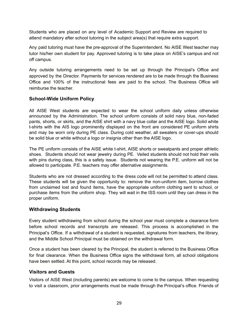Students who are placed on any level of Academic Support and Review are required to attend mandatory after school tutoring in the subject area(s) that require extra support.

Any paid tutoring must have the pre-approval of the Superintendent. No AISE West teacher may tutor his/her own student for pay. Approved tutoring is to take place on AISE's campus and not off campus.

Any outside tutoring arrangements need to be set up through the Principal's Office and approved by the Director. Payments for services rendered are to be made through the Business Office and 100% of the instructional fees are paid to the school. The Business Office will reimburse the teacher.

#### **School-Wide Uniform Policy**

All AISE West students are expected to wear the school uniform daily unless otherwise announced by the Administration. The school uniform consists of solid navy blue, non-faded pants, shorts, or skirts, and the AISE shirt with a navy blue collar and the AISE logo. Solid white t-shirts with the AIS logo prominently displayed on the front are considered PE uniform shirts and may be worn only during PE class. During cold weather, all sweaters or cover-ups should be solid blue or white without a logo or insignia other than the AISE logo.

The PE uniform consists of the AISE white t-shirt, AISE shorts or sweatpants and proper athletic shoes. Students should not wear jewelry during PE. Veiled students should not hold their veils with pins during class, this is a safety issue. Students not wearing the P.E. uniform will not be allowed to participate. P.E. teachers may offer alternative assignments.

Students who are not dressed according to the dress code will not be permitted to attend class. These students will be given the opportunity to: remove the non-uniform item, borrow clothes from unclaimed lost and found items, have the appropriate uniform clothing sent to school, or purchase items from the uniform shop. They will wait in the ISS room until they can dress in the proper uniform.

#### **Withdrawing Students**

Every student withdrawing from school during the school year must complete a clearance form before school records and transcripts are released. This process is accomplished in the Principal's Office. If a withdrawal of a student is requested, signatures from teachers, the library, and the Middle School Principal must be obtained on the withdrawal form.

Once a student has been cleared by the Principal, the student is referred to the Business Office for final clearance. When the Business Office signs the withdrawal form, all school obligations have been settled. At this point, school records may be released.

#### **Visitors and Guests**

Visitors of AISE West (including parents) are welcome to come to the campus. When requesting to visit a classroom, prior arrangements must be made through the Principal's office. Friends of